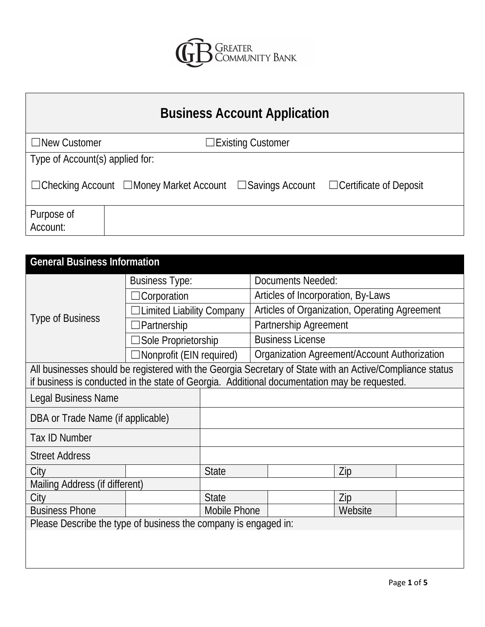

| <b>Business Account Application</b>                                                                         |                                 |  |  |  |  |  |  |
|-------------------------------------------------------------------------------------------------------------|---------------------------------|--|--|--|--|--|--|
| $\Box$ New Customer                                                                                         | $\Box$ Existing Customer        |  |  |  |  |  |  |
|                                                                                                             | Type of Account(s) applied for: |  |  |  |  |  |  |
| $\Box$ Checking Account $\Box$ Money Market Account $\Box$ Savings Account<br>$\Box$ Certificate of Deposit |                                 |  |  |  |  |  |  |
| Purpose of<br>Account:                                                                                      |                                 |  |  |  |  |  |  |

| <b>General Business Information</b>                                                                      |                                  |                         |                                               |     |  |  |
|----------------------------------------------------------------------------------------------------------|----------------------------------|-------------------------|-----------------------------------------------|-----|--|--|
|                                                                                                          | <b>Business Type:</b>            |                         | Documents Needed:                             |     |  |  |
|                                                                                                          | <b>Corporation</b>               |                         | Articles of Incorporation, By-Laws            |     |  |  |
|                                                                                                          | <b>Limited Liability Company</b> |                         | Articles of Organization, Operating Agreement |     |  |  |
| Type of Business                                                                                         | <b>Partnership</b>               |                         | Partnership Agreement                         |     |  |  |
|                                                                                                          | <b>Sole Proprietorship</b>       |                         | <b>Business License</b>                       |     |  |  |
|                                                                                                          | $\Box$ Nonprofit (EIN required)  |                         | Organization Agreement/Account Authorization  |     |  |  |
| All businesses should be registered with the Georgia Secretary of State with an Active/Compliance status |                                  |                         |                                               |     |  |  |
| if business is conducted in the state of Georgia. Additional documentation may be requested.             |                                  |                         |                                               |     |  |  |
| Legal Business Name                                                                                      |                                  |                         |                                               |     |  |  |
| DBA or Trade Name (if applicable)                                                                        |                                  |                         |                                               |     |  |  |
| <b>Tax ID Number</b>                                                                                     |                                  |                         |                                               |     |  |  |
| <b>Street Address</b>                                                                                    |                                  |                         |                                               |     |  |  |
| City                                                                                                     |                                  | <b>State</b>            |                                               | Zip |  |  |
| Mailing Address (if different)                                                                           |                                  |                         |                                               |     |  |  |
| City                                                                                                     |                                  | <b>State</b>            |                                               | Zip |  |  |
| <b>Business Phone</b>                                                                                    |                                  | Mobile Phone<br>Website |                                               |     |  |  |
| Please Describe the type of business the company is engaged in:                                          |                                  |                         |                                               |     |  |  |
|                                                                                                          |                                  |                         |                                               |     |  |  |
|                                                                                                          |                                  |                         |                                               |     |  |  |
|                                                                                                          |                                  |                         |                                               |     |  |  |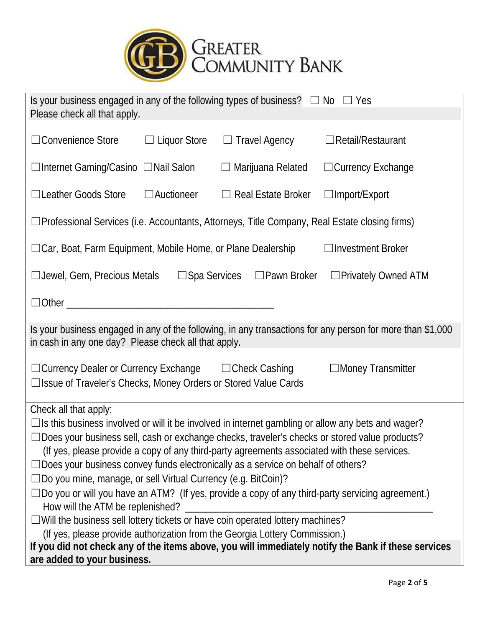

| Is your business engaged in any of the following types of business? $\Box$<br>$No \square Yes$<br>Please check all that apply.                                   |                        |                                                                                              |                                                                                                            |  |  |  |  |
|------------------------------------------------------------------------------------------------------------------------------------------------------------------|------------------------|----------------------------------------------------------------------------------------------|------------------------------------------------------------------------------------------------------------|--|--|--|--|
| □ Convenience Store                                                                                                                                              | $\Box$ Liquor Store    | $\Box$ Travel Agency                                                                         | $\Box$ Retail/Restaurant                                                                                   |  |  |  |  |
| □Internet Gaming/Casino □Nail Salon                                                                                                                              |                        | $\Box$ Marijuana Related                                                                     | $\Box$ Currency Exchange                                                                                   |  |  |  |  |
| □Leather Goods Store                                                                                                                                             | $\Box$ Auctioneer      | $\Box$ Real Estate Broker                                                                    | $\Box$ Import/Export                                                                                       |  |  |  |  |
| □Professional Services (i.e. Accountants, Attorneys, Title Company, Real Estate closing firms)                                                                   |                        |                                                                                              |                                                                                                            |  |  |  |  |
| $\Box$ Car, Boat, Farm Equipment, Mobile Home, or Plane Dealership                                                                                               |                        |                                                                                              | $\Box$ Investment Broker                                                                                   |  |  |  |  |
| $\Box$ Jewel, Gem, Precious Metals                                                                                                                               | $\square$ Spa Services | $\square$ Pawn Broker                                                                        | $\Box$ Privately Owned ATM                                                                                 |  |  |  |  |
| $\Box$ Other $\Box$                                                                                                                                              |                        |                                                                                              |                                                                                                            |  |  |  |  |
| in cash in any one day? Please check all that apply.                                                                                                             |                        |                                                                                              | Is your business engaged in any of the following, in any transactions for any person for more than \$1,000 |  |  |  |  |
| $\Box$ Currency Dealer or Currency Exchange $\Box$ Check Cashing<br>$\Box$ Money Transmitter<br>□ Issue of Traveler's Checks, Money Orders or Stored Value Cards |                        |                                                                                              |                                                                                                            |  |  |  |  |
| Check all that apply:                                                                                                                                            |                        |                                                                                              |                                                                                                            |  |  |  |  |
| $\Box$ Is this business involved or will it be involved in internet gambling or allow any bets and wager?                                                        |                        |                                                                                              |                                                                                                            |  |  |  |  |
| □ Does your business sell, cash or exchange checks, traveler's checks or stored value products?                                                                  |                        |                                                                                              |                                                                                                            |  |  |  |  |
|                                                                                                                                                                  |                        | (If yes, please provide a copy of any third-party agreements associated with these services. |                                                                                                            |  |  |  |  |
| □ Does your business convey funds electronically as a service on behalf of others?                                                                               |                        |                                                                                              |                                                                                                            |  |  |  |  |
| $\Box$ Do you mine, manage, or sell Virtual Currency (e.g. BitCoin)?                                                                                             |                        |                                                                                              |                                                                                                            |  |  |  |  |
| $\Box$ Do you or will you have an ATM? (If yes, provide a copy of any third-party servicing agreement.)                                                          |                        |                                                                                              |                                                                                                            |  |  |  |  |
| How will the ATM be replenished?                                                                                                                                 |                        |                                                                                              |                                                                                                            |  |  |  |  |
| $\Box$ Will the business sell lottery tickets or have coin operated lottery machines?                                                                            |                        |                                                                                              |                                                                                                            |  |  |  |  |
|                                                                                                                                                                  |                        | (If yes, please provide authorization from the Georgia Lottery Commission.)                  |                                                                                                            |  |  |  |  |
| If you did not check any of the items above, you will immediately notify the Bank if these services<br>are added to your business.                               |                        |                                                                                              |                                                                                                            |  |  |  |  |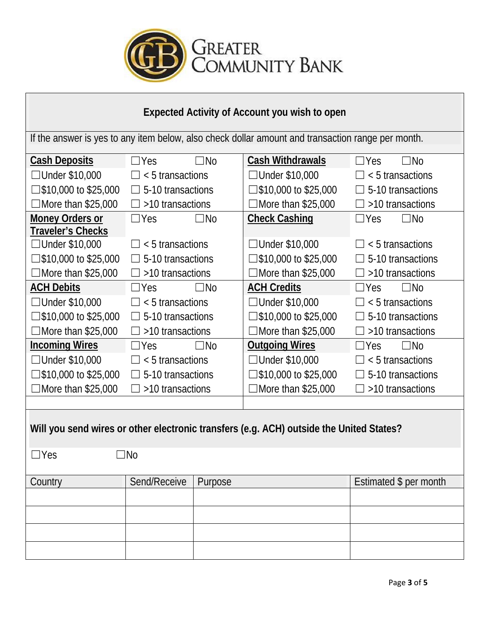

| <b>Expected Activity of Account you wish to open</b>                                                                  |                            |                                                       |                           |                            |  |  |  |
|-----------------------------------------------------------------------------------------------------------------------|----------------------------|-------------------------------------------------------|---------------------------|----------------------------|--|--|--|
| If the answer is yes to any item below, also check dollar amount and transaction range per month.                     |                            |                                                       |                           |                            |  |  |  |
| <b>Cash Deposits</b>                                                                                                  | $\Box$ Yes                 | <b>Cash Withdrawals</b><br>$\square$ No<br>$\Box$ Yes |                           |                            |  |  |  |
| $\Box$ Under \$10,000                                                                                                 | $\Box$ < 5 transactions    |                                                       | $\Box$ Under \$10,000     | < 5 transactions           |  |  |  |
| □ \$10,000 to \$25,000                                                                                                | $\Box$ 5-10 transactions   |                                                       | □ \$10,000 to \$25,000    | $\Box$ 5-10 transactions   |  |  |  |
| $\Box$ More than \$25,000                                                                                             | >10 transactions<br>$\Box$ |                                                       | $\Box$ More than \$25,000 | >10 transactions           |  |  |  |
| <b>Money Orders or</b><br><b>Traveler's Checks</b>                                                                    | $\Box$ Yes                 | $\square$ No                                          | <b>Check Cashing</b>      | $\square$ No<br>$\Box$ Yes |  |  |  |
| $\Box$ Under \$10,000                                                                                                 | $\Box$ < 5 transactions    |                                                       | $\Box$ Under \$10,000     | < 5 transactions           |  |  |  |
| □ \$10,000 to \$25,000                                                                                                | $\Box$ 5-10 transactions   |                                                       | □ \$10,000 to \$25,000    | $\Box$ 5-10 transactions   |  |  |  |
| $\Box$ More than \$25,000                                                                                             | $\Box$ >10 transactions    |                                                       | $\Box$ More than \$25,000 | >10 transactions           |  |  |  |
| <b>ACH Debits</b>                                                                                                     | $\Box$ Yes                 | $\square$ No                                          | <b>ACH Credits</b>        | $\square$ No<br>$\Box$ Yes |  |  |  |
| $\Box$ Under \$10,000                                                                                                 | $\Box$ < 5 transactions    |                                                       | $\Box$ Under \$10,000     | $< 5$ transactions         |  |  |  |
| □ \$10,000 to \$25,000                                                                                                | $\Box$ 5-10 transactions   |                                                       | □ \$10,000 to \$25,000    | $\Box$ 5-10 transactions   |  |  |  |
| $\Box$ More than \$25,000                                                                                             | >10 transactions<br>$\Box$ |                                                       | $\Box$ More than \$25,000 | >10 transactions           |  |  |  |
| <b>Incoming Wires</b>                                                                                                 | $\Box$ Yes                 | $\square$ No                                          | <b>Outgoing Wires</b>     | $\square$ No<br>$\Box$ Yes |  |  |  |
| $\Box$ Under \$10,000                                                                                                 | $\Box$ < 5 transactions    |                                                       | $\Box$ Under \$10,000     | < 5 transactions           |  |  |  |
| □ \$10,000 to \$25,000                                                                                                | $\Box$ 5-10 transactions   |                                                       | □ \$10,000 to \$25,000    | $\Box$ 5-10 transactions   |  |  |  |
| $\Box$ More than \$25,000                                                                                             | $\Box$ >10 transactions    |                                                       | $\Box$ More than \$25,000 | >10 transactions           |  |  |  |
|                                                                                                                       |                            |                                                       |                           |                            |  |  |  |
| Will you send wires or other electronic transfers (e.g. ACH) outside the United States?<br>$\Box$ Yes<br>$\square$ No |                            |                                                       |                           |                            |  |  |  |
| Country                                                                                                               | Send/Receive               | Purpose                                               |                           | Estimated \$ per month     |  |  |  |
|                                                                                                                       |                            |                                                       |                           |                            |  |  |  |
|                                                                                                                       |                            |                                                       |                           |                            |  |  |  |
|                                                                                                                       |                            |                                                       |                           |                            |  |  |  |
|                                                                                                                       |                            |                                                       |                           |                            |  |  |  |
|                                                                                                                       |                            |                                                       |                           |                            |  |  |  |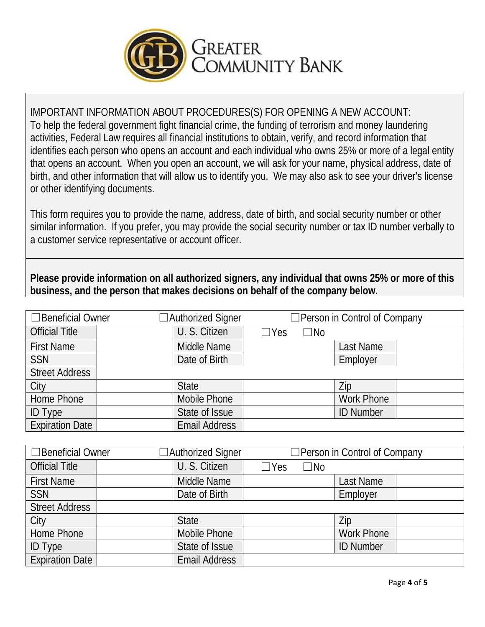

IMPORTANT INFORMATION ABOUT PROCEDURES(S) FOR OPENING A NEW ACCOUNT: To help the federal government fight financial crime, the funding of terrorism and money laundering activities, Federal Law requires all financial institutions to obtain, verify, and record information that identifies each person who opens an account and each individual who owns 25% or more of a legal entity that opens an account. When you open an account, we will ask for your name, physical address, date of birth, and other information that will allow us to identify you. We may also ask to see your driver's license or other identifying documents.

This form requires you to provide the name, address, date of birth, and social security number or other similar information. If you prefer, you may provide the social security number or tax ID number verbally to a customer service representative or account officer.

**Please provide information on all authorized signers, any individual that owns 25% or more of this business, and the person that makes decisions on behalf of the company below.**

| $\Box$ Beneficial Owner |  | $\Box$ Authorized Signer |            | $\Box$ Person in Control of Company |                   |  |  |
|-------------------------|--|--------------------------|------------|-------------------------------------|-------------------|--|--|
| <b>Official Title</b>   |  | U. S. Citizen            | $\Box$ Yes | $\square$ No                        |                   |  |  |
| <b>First Name</b>       |  | Middle Name              |            |                                     | Last Name         |  |  |
| <b>SSN</b>              |  | Date of Birth            |            |                                     | Employer          |  |  |
| <b>Street Address</b>   |  |                          |            |                                     |                   |  |  |
| City                    |  | <b>State</b>             |            |                                     | Zip               |  |  |
| Home Phone              |  | Mobile Phone             |            |                                     | <b>Work Phone</b> |  |  |
| <b>ID Type</b>          |  | State of Issue           |            |                                     | <b>ID Number</b>  |  |  |
| <b>Expiration Date</b>  |  | <b>Email Address</b>     |            |                                     |                   |  |  |

| $\Box$ Beneficial Owner |  | $\Box$ Authorized Signer |            | $\Box$ Person in Control of Company |                   |  |
|-------------------------|--|--------------------------|------------|-------------------------------------|-------------------|--|
| <b>Official Title</b>   |  | U. S. Citizen            | $\Box$ Yes | $\square$ No                        |                   |  |
| <b>First Name</b>       |  | Middle Name              |            |                                     | Last Name         |  |
| <b>SSN</b>              |  | Date of Birth            |            |                                     | Employer          |  |
| <b>Street Address</b>   |  |                          |            |                                     |                   |  |
| City                    |  | <b>State</b>             |            |                                     | Zip               |  |
| Home Phone              |  | Mobile Phone             |            |                                     | <b>Work Phone</b> |  |
| <b>ID Type</b>          |  | State of Issue           |            |                                     | <b>ID Number</b>  |  |
| <b>Expiration Date</b>  |  | <b>Email Address</b>     |            |                                     |                   |  |